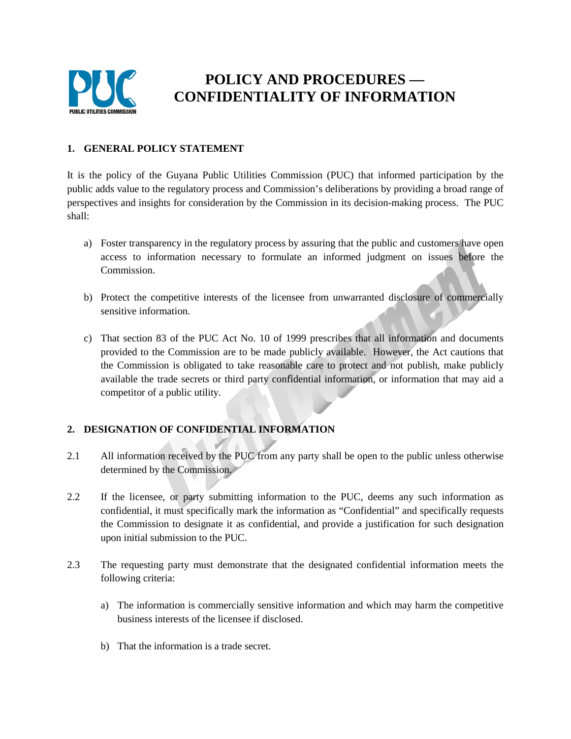

# **POLICY AND PROCEDURES — CONFIDENTIALITY OF INFORMATION**

#### **1. GENERAL POLICY STATEMENT**

It is the policy of the Guyana Public Utilities Commission (PUC) that informed participation by the public adds value to the regulatory process and Commission's deliberations by providing a broad range of perspectives and insights for consideration by the Commission in its decision-making process. The PUC shall:

- a) Foster transparency in the regulatory process by assuring that the public and customers have open access to information necessary to formulate an informed judgment on issues before the Commission.
- b) Protect the competitive interests of the licensee from unwarranted disclosure of commercially sensitive information.
- c) That section 83 of the PUC Act No. 10 of 1999 prescribes that all information and documents provided to the Commission are to be made publicly available. However, the Act cautions that the Commission is obligated to take reasonable care to protect and not publish, make publicly available the trade secrets or third party confidential information, or information that may aid a competitor of a public utility.

## **2. DESIGNATION OF CONFIDENTIAL INFORMATION**

- 2.1 All information received by the PUC from any party shall be open to the public unless otherwise determined by the Commission.
- 2.2 If the licensee, or party submitting information to the PUC, deems any such information as confidential, it must specifically mark the information as "Confidential" and specifically requests the Commission to designate it as confidential, and provide a justification for such designation upon initial submission to the PUC.
- 2.3 The requesting party must demonstrate that the designated confidential information meets the following criteria:
	- a) The information is commercially sensitive information and which may harm the competitive business interests of the licensee if disclosed.
	- b) That the information is a trade secret.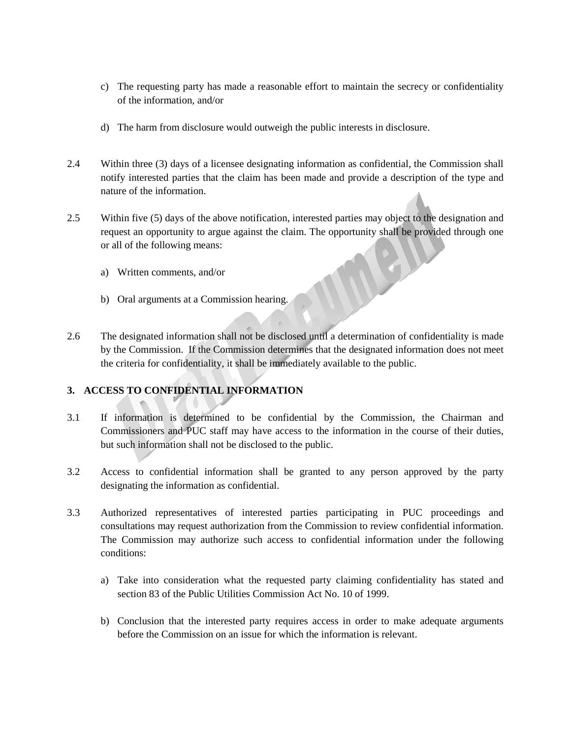- c) The requesting party has made a reasonable effort to maintain the secrecy or confidentiality of the information, and/or
- d) The harm from disclosure would outweigh the public interests in disclosure.
- 2.4 Within three (3) days of a licensee designating information as confidential, the Commission shall notify interested parties that the claim has been made and provide a description of the type and nature of the information.
- 2.5 Within five (5) days of the above notification, interested parties may object to the designation and request an opportunity to argue against the claim. The opportunity shall be provided through one or all of the following means:
	- a) Written comments, and/or
	- b) Oral arguments at a Commission hearing.
- 2.6 The designated information shall not be disclosed until a determination of confidentiality is made by the Commission. If the Commission determines that the designated information does not meet the criteria for confidentiality, it shall be immediately available to the public.

## **3. ACCESS TO CONFIDENTIAL INFORMATION**

- 3.1 If information is determined to be confidential by the Commission, the Chairman and Commissioners and PUC staff may have access to the information in the course of their duties, but such information shall not be disclosed to the public.
- 3.2 Access to confidential information shall be granted to any person approved by the party designating the information as confidential.
- 3.3 Authorized representatives of interested parties participating in PUC proceedings and consultations may request authorization from the Commission to review confidential information. The Commission may authorize such access to confidential information under the following conditions:
	- a) Take into consideration what the requested party claiming confidentiality has stated and section 83 of the Public Utilities Commission Act No. 10 of 1999.
	- b) Conclusion that the interested party requires access in order to make adequate arguments before the Commission on an issue for which the information is relevant.